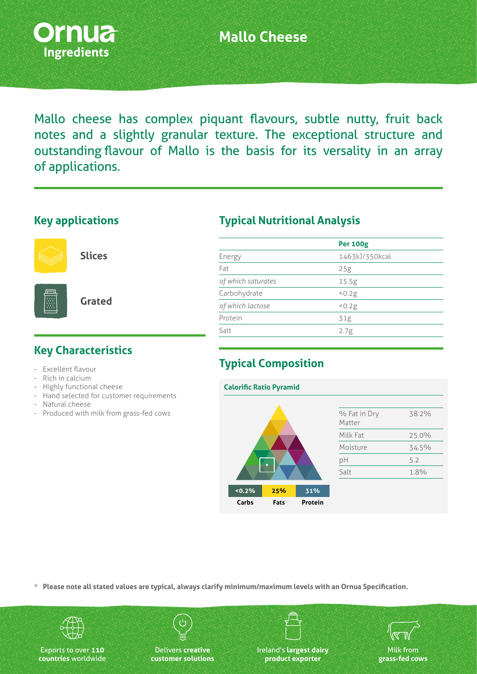

# **Mallo Cheese**

Mallo cheese has complex piquant flavours, subtle nutty, fruit back notes and a slightly granular texture. The exceptional structure and outstanding flavour of Mallo is the basis for its versality in an array of applications.

#### **Key applications**



**Slices**

**Grated**

# **Key Characteristics**

- Excellent flavour
- Rich in calcium
- Highly functional cheese
- Hand selected for customer requirements
- Natural cheese
- Produced with milk from grass-fed cows

#### **Typical Nutritional Analysis**

|                    | <b>Per 100g</b> |  |
|--------------------|-----------------|--|
| Energy             | 1463kJ/350kcal  |  |
| Fat                | 25g             |  |
| of which saturates | 15.5g           |  |
| Carbohydrate       | < 0.2g          |  |
| of which lactose   | 50.2g           |  |
| Protein            | 31g             |  |
| Salt               | 2.7g            |  |
|                    |                 |  |

# **Typical Composition**



**\* Please note all stated values are typical, always clarify minimum/maximum levels with an Ornua Specification.**



Exports to over **110 countries** worldwide

Delivers **creative customer solutions** Ireland's **largest dairy product exporter**